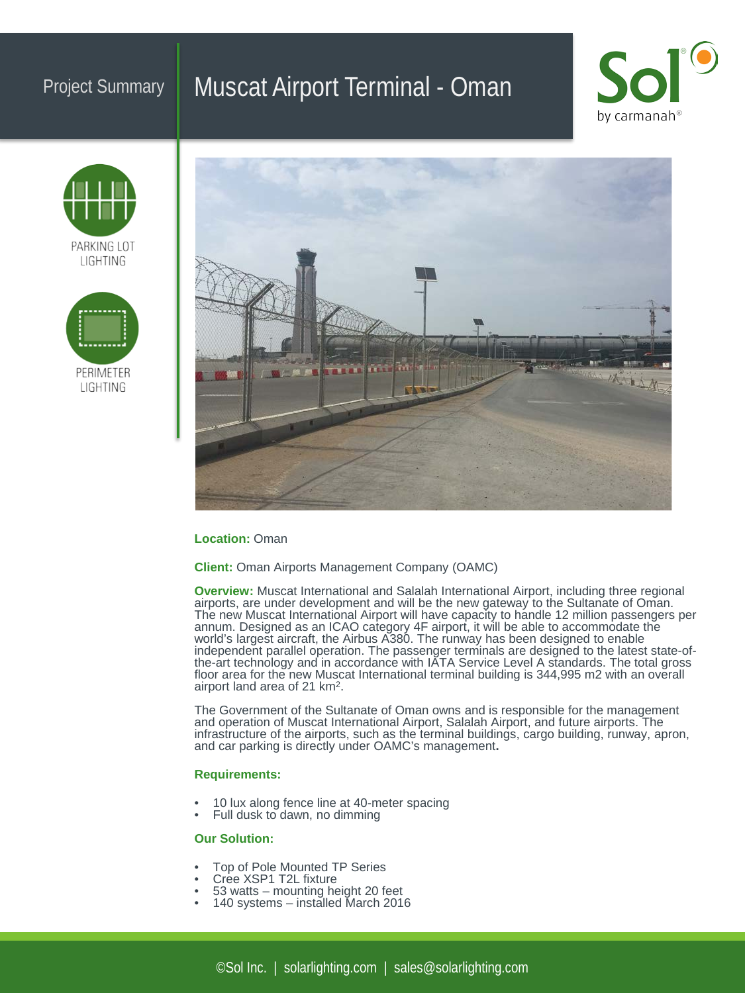## Project Summary | Muscat Airport Terminal - Oman









#### **Location:** Oman

**Client:** Oman Airports Management Company (OAMC)

**Overview:** Muscat International and Salalah International Airport, including three regional airports, are under development and will be the new gateway to the Sultanate of Oman. The new Muscat International Airport will have capacity to handle 12 million passengers per annum. Designed as an ICAO category 4F airport, it will be able to accommodate the world's largest aircraft, the Airbus A380. The runway has been designed to enable independent parallel operation. The passenger terminals are designed to the latest state-of-<br>the-art technology and in accordance with IATA Service Level A standards. The total gross floor area for the new Muscat International terminal building is 344,995 m2 with an overall airport land area of 21 km2.

The Government of the Sultanate of Oman owns and is responsible for the management and operation of Muscat International Airport, Salalah Airport, and future airports. The infrastructure of the airports, such as the terminal buildings, cargo building, runway, apron, and car parking is directly under OAMC's management**.**

### **Requirements:**

- 10 lux along fence line at 40-meter spacing Full dusk to dawn, no dimming
- 

## **Our Solution:**

- 
- 
- Top of Pole Mounted TP Series Cree XSP1 T2L fixture 53 watts mounting height 20 feet 140 systems installed March 2016
-